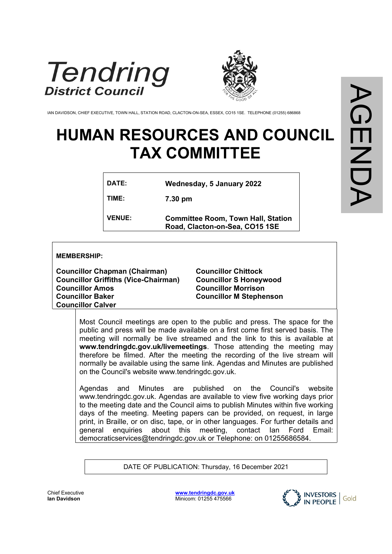



IAN DAVIDSON, CHIEF EXECUTIVE, TOWN HALL, STATION ROAD, CLACTON-ON-SEA, ESSEX, CO15 1SE. TELEPHONE (01255) 686868

# **HUMAN RESOURCES AND COUNCIL TAX COMMITTEE**

| DATE:         | Wednesday, 5 January 2022                                                   |
|---------------|-----------------------------------------------------------------------------|
| TIME:         | 7.30 pm                                                                     |
| <b>VENUE:</b> | <b>Committee Room, Town Hall, Station</b><br>Road, Clacton-on-Sea, CO15 1SE |

#### **MEMBERSHIP:**

**Councillor Chapman (Chairman) Councillor Griffiths (Vice-Chairman) Councillor Amos Councillor Baker Councillor Calver**

**Councillor Chittock Councillor S Honeywood Councillor Morrison Councillor M Stephenson**

Most Council meetings are open to the public and press. The space for the public and press will be made available on a first come first served basis. The meeting will normally be live streamed and the link to this is available at **www.tendringdc.gov.uk/livemeetings**. Those attending the meeting may therefore be filmed. After the meeting the recording of the live stream will normally be available using the same link. Agendas and Minutes are published on the Council's website www.tendringdc.gov.uk.

Agendas and Minutes are published on the Council's website [www.t](http://www.basildon/)endringdc.gov.uk. Agendas are available to view five working days prior to the meeting date and the Council aims to publish Minutes within five working days of the meeting. Meeting papers can be provided, on request, in large print, in Braille, or on disc, tape, or in other languages. For further details and general enquiries about this meeting, contact Ian Ford Email: democraticservices@tendringdc.gov.uk or Telephone: on 01255686584.

DATE OF PUBLICATION: Thursday, 16 December 2021



Chief Executive **Ian Davidson** 

**[www.tendringdc.gov.uk](http://www.tendringdc.gov.uk/)** Minicom: 01255 475566

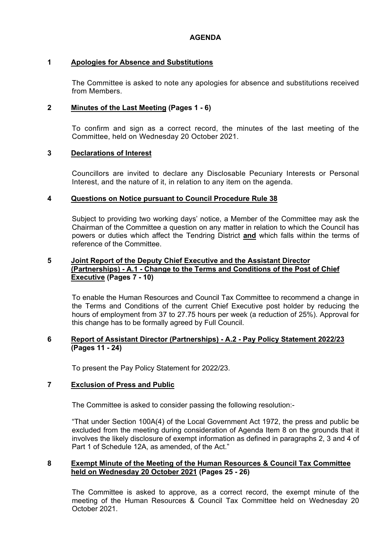## **1 Apologies for Absence and Substitutions**

The Committee is asked to note any apologies for absence and substitutions received from Members.

## **2 Minutes of the Last Meeting (Pages 1 - 6)**

To confirm and sign as a correct record, the minutes of the last meeting of the Committee, held on Wednesday 20 October 2021.

## **3 Declarations of Interest**

Councillors are invited to declare any Disclosable Pecuniary Interests or Personal Interest, and the nature of it, in relation to any item on the agenda.

## **4 Questions on Notice pursuant to Council Procedure Rule 38**

Subject to providing two working days' notice, a Member of the Committee may ask the Chairman of the Committee a question on any matter in relation to which the Council has powers or duties which affect the Tendring District **and** which falls within the terms of reference of the Committee.

## **5 Joint Report of the Deputy Chief Executive and the Assistant Director (Partnerships) - A.1 - Change to the Terms and Conditions of the Post of Chief Executive (Pages 7 - 10)**

To enable the Human Resources and Council Tax Committee to recommend a change in the Terms and Conditions of the current Chief Executive post holder by reducing the hours of employment from 37 to 27.75 hours per week (a reduction of 25%). Approval for this change has to be formally agreed by Full Council.

### **6 Report of Assistant Director (Partnerships) - A.2 - Pay Policy Statement 2022/23 (Pages 11 - 24)**

To present the Pay Policy Statement for 2022/23.

## **7 Exclusion of Press and Public**

The Committee is asked to consider passing the following resolution:-

"That under Section 100A(4) of the Local Government Act 1972, the press and public be excluded from the meeting during consideration of Agenda Item 8 on the grounds that it involves the likely disclosure of exempt information as defined in paragraphs 2, 3 and 4 of Part 1 of Schedule 12A, as amended, of the Act."

### **8 Exempt Minute of the Meeting of the Human Resources & Council Tax Committee held on Wednesday 20 October 2021 (Pages 25 - 26)**

The Committee is asked to approve, as a correct record, the exempt minute of the meeting of the Human Resources & Council Tax Committee held on Wednesday 20 October 2021.